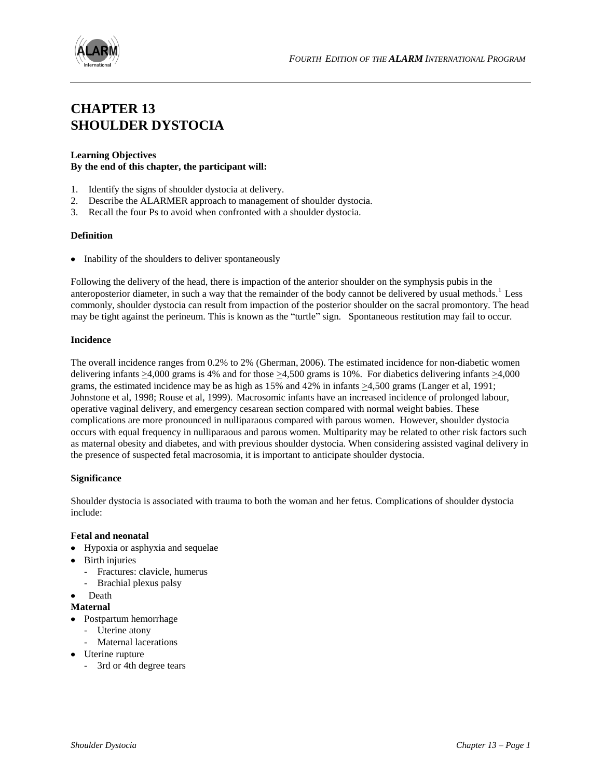

# **CHAPTER 13 SHOULDER DYSTOCIA**

# **Learning Objectives By the end of this chapter, the participant will:**

- 1. Identify the signs of shoulder dystocia at delivery.
- 2. Describe the ALARMER approach to management of shoulder dystocia.
- 3. Recall the four Ps to avoid when confronted with a shoulder dystocia.

# **Definition**

• Inability of the shoulders to deliver spontaneously

Following the delivery of the head, there is impaction of the anterior shoulder on the symphysis pubis in the anteroposterior diameter, in such a way that the remainder of the body cannot be delivered by usual methods.<sup>1</sup> Less commonly, shoulder dystocia can result from impaction of the posterior shoulder on the sacral promontory. The head may be tight against the perineum. This is known as the "turtle" sign. Spontaneous restitution may fail to occur.

### **Incidence**

The overall incidence ranges from 0.2% to 2% (Gherman, 2006). The estimated incidence for non-diabetic women delivering infants  $\geq 4,000$  grams is 4% and for those  $\geq 4,500$  grams is 10%. For diabetics delivering infants  $\geq 4,000$ grams, the estimated incidence may be as high as 15% and 42% in infants >4,500 grams (Langer et al, 1991; Johnstone et al, 1998; Rouse et al, 1999). Macrosomic infants have an increased incidence of prolonged labour, operative vaginal delivery, and emergency cesarean section compared with normal weight babies. These complications are more pronounced in nulliparaous compared with parous women. However, shoulder dystocia occurs with equal frequency in nulliparaous and parous women. Multiparity may be related to other risk factors such as maternal obesity and diabetes, and with previous shoulder dystocia. When considering assisted vaginal delivery in the presence of suspected fetal macrosomia, it is important to anticipate shoulder dystocia.

# **Significance**

Shoulder dystocia is associated with trauma to both the woman and her fetus. Complications of shoulder dystocia include:

#### **Fetal and neonatal**

- Hypoxia or asphyxia and sequelae
- Birth injuries
	- Fractures: clavicle, humerus
	- Brachial plexus palsy
- Death

#### **Maternal**

- Postpartum hemorrhage
	- Uterine atony
	- Maternal lacerations
- Uterine rupture
	- 3rd or 4th degree tears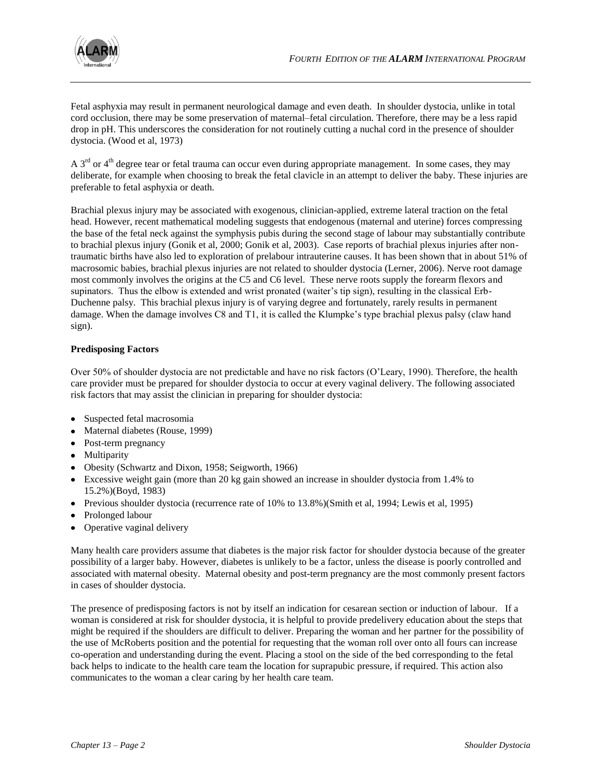

Fetal asphyxia may result in permanent neurological damage and even death. In shoulder dystocia, unlike in total cord occlusion, there may be some preservation of maternal–fetal circulation. Therefore, there may be a less rapid drop in pH. This underscores the consideration for not routinely cutting a nuchal cord in the presence of shoulder dystocia. (Wood et al, 1973)

A  $3<sup>rd</sup>$  or  $4<sup>th</sup>$  degree tear or fetal trauma can occur even during appropriate management. In some cases, they may deliberate, for example when choosing to break the fetal clavicle in an attempt to deliver the baby. These injuries are preferable to fetal asphyxia or death.

Brachial plexus injury may be associated with exogenous, clinician-applied, extreme lateral traction on the fetal head. However, recent mathematical modeling suggests that endogenous (maternal and uterine) forces compressing the base of the fetal neck against the symphysis pubis during the second stage of labour may substantially contribute to brachial plexus injury (Gonik et al, 2000; Gonik et al, 2003). Case reports of brachial plexus injuries after nontraumatic births have also led to exploration of prelabour intrauterine causes. It has been shown that in about 51% of macrosomic babies, brachial plexus injuries are not related to shoulder dystocia (Lerner, 2006). Nerve root damage most commonly involves the origins at the C5 and C6 level. These nerve roots supply the forearm flexors and supinators. Thus the elbow is extended and wrist pronated (waiter's tip sign), resulting in the classical Erb-Duchenne palsy. This brachial plexus injury is of varying degree and fortunately, rarely results in permanent damage. When the damage involves C8 and T1, it is called the Klumpke's type brachial plexus palsy (claw hand sign).

# **Predisposing Factors**

Over 50% of shoulder dystocia are not predictable and have no risk factors (O"Leary, 1990). Therefore, the health care provider must be prepared for shoulder dystocia to occur at every vaginal delivery. The following associated risk factors that may assist the clinician in preparing for shoulder dystocia:

- Suspected fetal macrosomia
- Maternal diabetes (Rouse, 1999)
- Post-term pregnancy
- Multiparity
- Obesity (Schwartz and Dixon, 1958; Seigworth, 1966)
- Excessive weight gain (more than 20 kg gain showed an increase in shoulder dystocia from 1.4% to 15.2%)(Boyd, 1983)
- Previous shoulder dystocia (recurrence rate of 10% to 13.8%)(Smith et al, 1994; Lewis et al, 1995)
- Prolonged labour
- Operative vaginal delivery

Many health care providers assume that diabetes is the major risk factor for shoulder dystocia because of the greater possibility of a larger baby. However, diabetes is unlikely to be a factor, unless the disease is poorly controlled and associated with maternal obesity. Maternal obesity and post-term pregnancy are the most commonly present factors in cases of shoulder dystocia.

The presence of predisposing factors is not by itself an indication for cesarean section or induction of labour. If a woman is considered at risk for shoulder dystocia, it is helpful to provide predelivery education about the steps that might be required if the shoulders are difficult to deliver. Preparing the woman and her partner for the possibility of the use of McRoberts position and the potential for requesting that the woman roll over onto all fours can increase co-operation and understanding during the event. Placing a stool on the side of the bed corresponding to the fetal back helps to indicate to the health care team the location for suprapubic pressure, if required. This action also communicates to the woman a clear caring by her health care team.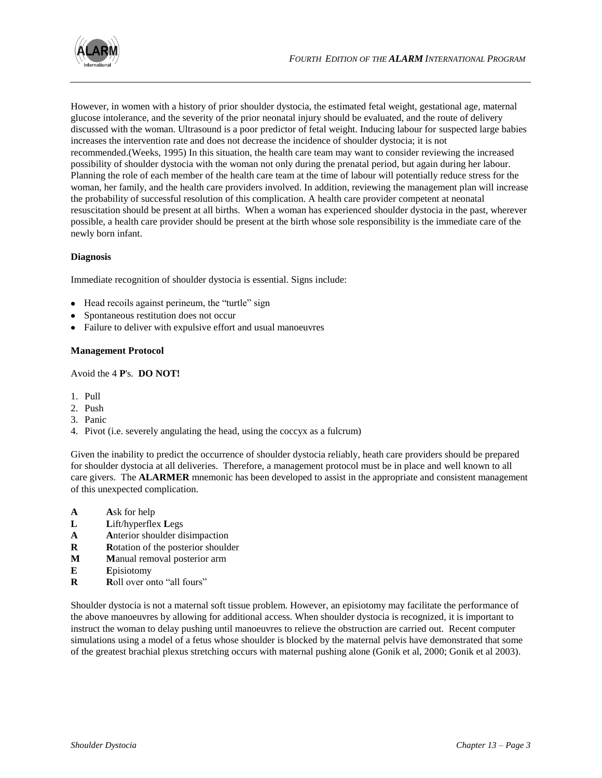

However, in women with a history of prior shoulder dystocia, the estimated fetal weight, gestational age, maternal glucose intolerance, and the severity of the prior neonatal injury should be evaluated, and the route of delivery discussed with the woman. Ultrasound is a poor predictor of fetal weight. Inducing labour for suspected large babies increases the intervention rate and does not decrease the incidence of shoulder dystocia; it is not recommended.(Weeks, 1995) In this situation, the health care team may want to consider reviewing the increased possibility of shoulder dystocia with the woman not only during the prenatal period, but again during her labour. Planning the role of each member of the health care team at the time of labour will potentially reduce stress for the woman, her family, and the health care providers involved. In addition, reviewing the management plan will increase the probability of successful resolution of this complication. A health care provider competent at neonatal resuscitation should be present at all births. When a woman has experienced shoulder dystocia in the past, wherever possible, a health care provider should be present at the birth whose sole responsibility is the immediate care of the newly born infant.

# **Diagnosis**

Immediate recognition of shoulder dystocia is essential. Signs include:

- Head recoils against perineum, the "turtle" sign
- Spontaneous restitution does not occur
- Failure to deliver with expulsive effort and usual manoeuvres

#### **Management Protocol**

Avoid the 4 **P**'s. **DO NOT!**

- 1. Pull
- 2. Push
- 3. Panic
- 4. Pivot (i.e. severely angulating the head, using the coccyx as a fulcrum)

Given the inability to predict the occurrence of shoulder dystocia reliably, heath care providers should be prepared for shoulder dystocia at all deliveries. Therefore, a management protocol must be in place and well known to all care givers. The **ALARMER** mnemonic has been developed to assist in the appropriate and consistent management of this unexpected complication.

- **A A**sk for help
- **L L**ift/hyperflex **L**egs
- **A A**nterior shoulder disimpaction
- **R R**otation of the posterior shoulder
- **M M**anual removal posterior arm
- **E E**pisiotomy
- **R R**oll over onto "all fours"

Shoulder dystocia is not a maternal soft tissue problem. However, an episiotomy may facilitate the performance of the above manoeuvres by allowing for additional access. When shoulder dystocia is recognized, it is important to instruct the woman to delay pushing until manoeuvres to relieve the obstruction are carried out. Recent computer simulations using a model of a fetus whose shoulder is blocked by the maternal pelvis have demonstrated that some of the greatest brachial plexus stretching occurs with maternal pushing alone (Gonik et al, 2000; Gonik et al 2003).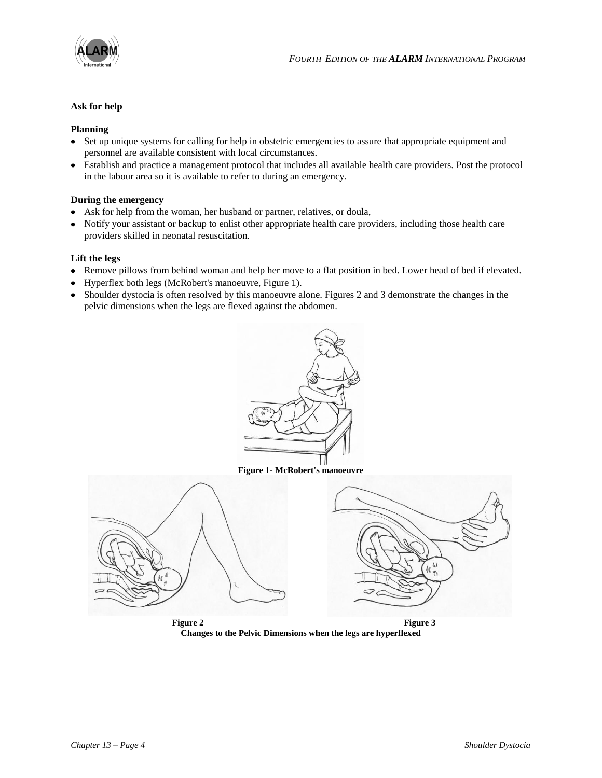

# **Ask for help**

# **Planning**

- Set up unique systems for calling for help in obstetric emergencies to assure that appropriate equipment and personnel are available consistent with local circumstances.
- Establish and practice a management protocol that includes all available health care providers. Post the protocol in the labour area so it is available to refer to during an emergency.

# **During the emergency**

- Ask for help from the woman, her husband or partner, relatives, or doula,
- Notify your assistant or backup to enlist other appropriate health care providers, including those health care providers skilled in neonatal resuscitation.

# **Lift the legs**

- Remove pillows from behind woman and help her move to a flat position in bed. Lower head of bed if elevated.
- Hyperflex both legs (McRobert's manoeuvre, Figure 1).
- Shoulder dystocia is often resolved by this manoeuvre alone. Figures 2 and 3 demonstrate the changes in the pelvic dimensions when the legs are flexed against the abdomen.



**Figure 2 Figure 3 Changes to the Pelvic Dimensions when the legs are hyperflexed**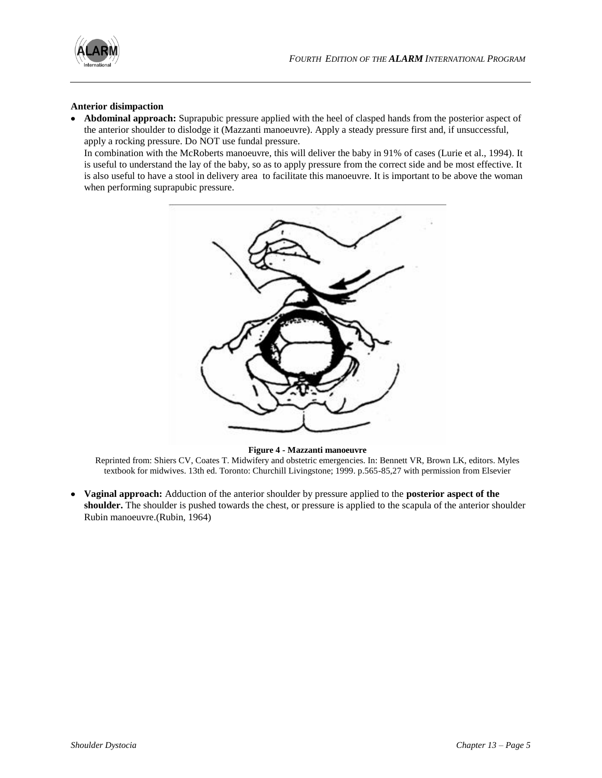

# **Anterior disimpaction**

**Abdominal approach:** Suprapubic pressure applied with the heel of clasped hands from the posterior aspect of the anterior shoulder to dislodge it (Mazzanti manoeuvre). Apply a steady pressure first and, if unsuccessful, apply a rocking pressure. Do NOT use fundal pressure.

In combination with the McRoberts manoeuvre, this will deliver the baby in 91% of cases (Lurie et al., 1994). It is useful to understand the lay of the baby, so as to apply pressure from the correct side and be most effective. It is also useful to have a stool in delivery area to facilitate this manoeuvre. It is important to be above the woman when performing suprapubic pressure.



#### **Figure 4 - Mazzanti manoeuvre**

Reprinted from: Shiers CV, Coates T. Midwifery and obstetric emergencies. In: Bennett VR, Brown LK, editors. Myles textbook for midwives. 13th ed. Toronto: Churchill Livingstone; 1999. p.565-85,27 with permission from Elsevier

**Vaginal approach:** Adduction of the anterior shoulder by pressure applied to the **posterior aspect of the**   $\bullet$ **shoulder.** The shoulder is pushed towards the chest, or pressure is applied to the scapula of the anterior shoulder Rubin manoeuvre.(Rubin, 1964)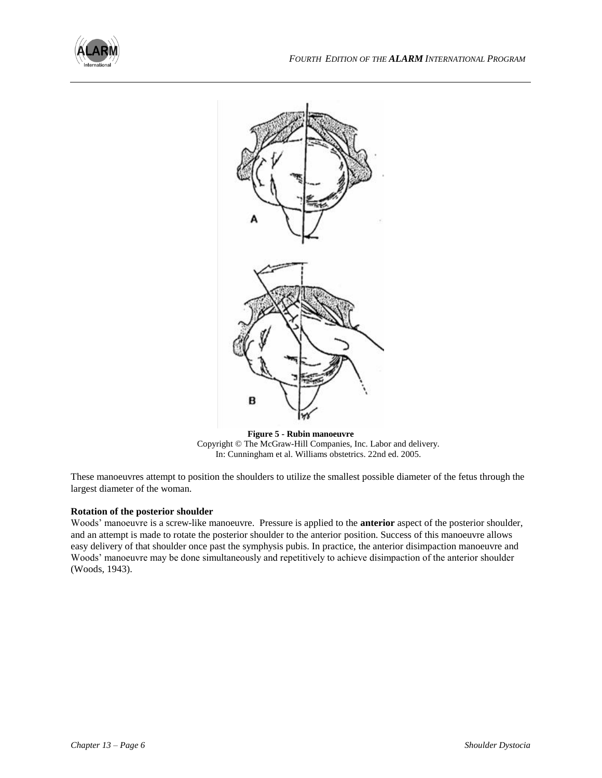



**Figure 5 - Rubin manoeuvre** Copyright © The McGraw-Hill Companies, Inc. Labor and delivery. In: Cunningham et al. Williams obstetrics. 22nd ed. 2005.

These manoeuvres attempt to position the shoulders to utilize the smallest possible diameter of the fetus through the largest diameter of the woman.

# **Rotation of the posterior shoulder**

Woods" manoeuvre is a screw-like manoeuvre. Pressure is applied to the **anterior** aspect of the posterior shoulder, and an attempt is made to rotate the posterior shoulder to the anterior position. Success of this manoeuvre allows easy delivery of that shoulder once past the symphysis pubis. In practice, the anterior disimpaction manoeuvre and Woods" manoeuvre may be done simultaneously and repetitively to achieve disimpaction of the anterior shoulder (Woods, 1943).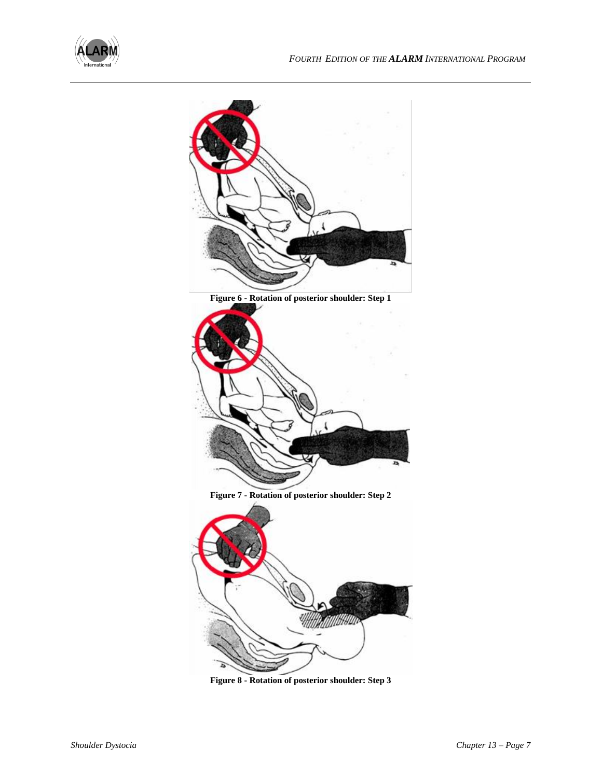



**Figure 8 - Rotation of posterior shoulder: Step 3**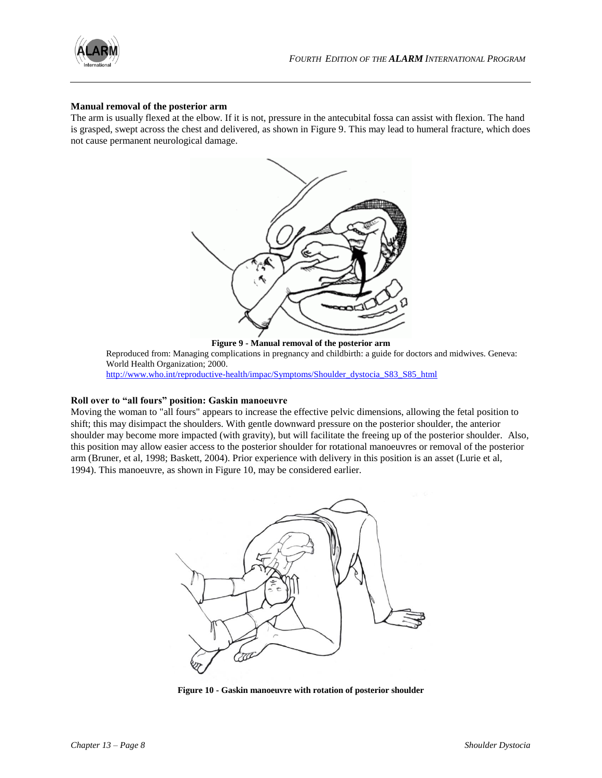

#### **Manual removal of the posterior arm**

The arm is usually flexed at the elbow. If it is not, pressure in the antecubital fossa can assist with flexion. The hand is grasped, swept across the chest and delivered, as shown in Figure 9. This may lead to humeral fracture, which does not cause permanent neurological damage.



Reproduced from: Managing complications in pregnancy and childbirth: a guide for doctors and midwives. Geneva: World Health Organization; 2000. [http://www.who.int/reproductive-health/impac/Symptoms/Shoulder\\_dystocia\\_S83\\_S85\\_html](http://www.who.int/reproductive-health/impac/Symptoms/Shoulder_dystocia_S83_S85_html)

# **Roll over to "all fours" position: Gaskin manoeuvre**

Moving the woman to "all fours" appears to increase the effective pelvic dimensions, allowing the fetal position to shift; this may disimpact the shoulders. With gentle downward pressure on the posterior shoulder, the anterior shoulder may become more impacted (with gravity), but will facilitate the freeing up of the posterior shoulder. Also, this position may allow easier access to the posterior shoulder for rotational manoeuvres or removal of the posterior arm (Bruner, et al, 1998; Baskett, 2004). Prior experience with delivery in this position is an asset (Lurie et al, 1994). This manoeuvre, as shown in Figure 10, may be considered earlier.



**Figure 10 - Gaskin manoeuvre with rotation of posterior shoulder**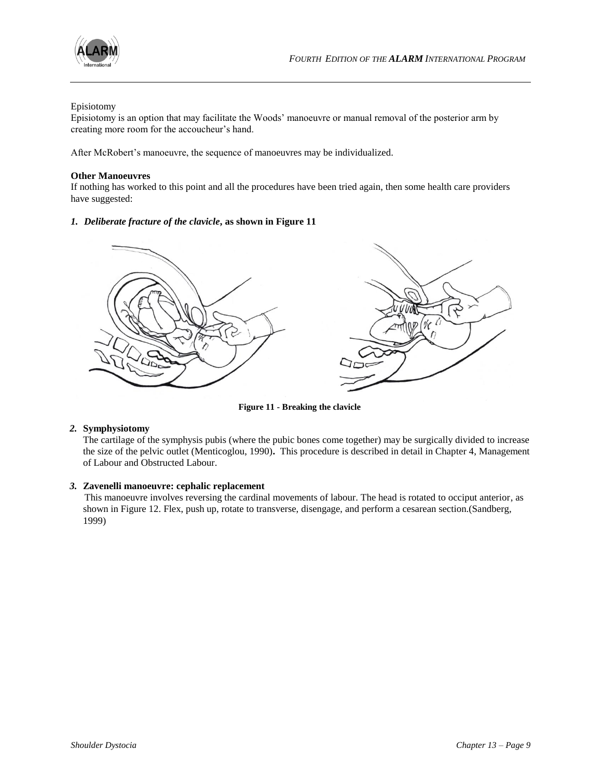

# Episiotomy

Episiotomy is an option that may facilitate the Woods" manoeuvre or manual removal of the posterior arm by creating more room for the accoucheur"s hand.

After McRobert's manoeuvre, the sequence of manoeuvres may be individualized.

#### **Other Manoeuvres**

If nothing has worked to this point and all the procedures have been tried again, then some health care providers have suggested:

# *1. Deliberate fracture of the clavicle***, as shown in Figure 11**



**Figure 11 - Breaking the clavicle**

#### *2.* **Symphysiotomy**

The cartilage of the symphysis pubis (where the pubic bones come together) may be surgically divided to increase the size of the pelvic outlet (Menticoglou, 1990)**.** This procedure is described in detail in Chapter 4, Management of Labour and Obstructed Labour.

# *3.* **Zavenelli manoeuvre: cephalic replacement**

This manoeuvre involves reversing the cardinal movements of labour. The head is rotated to occiput anterior, as shown in Figure 12. Flex, push up, rotate to transverse, disengage, and perform a cesarean section.(Sandberg, 1999)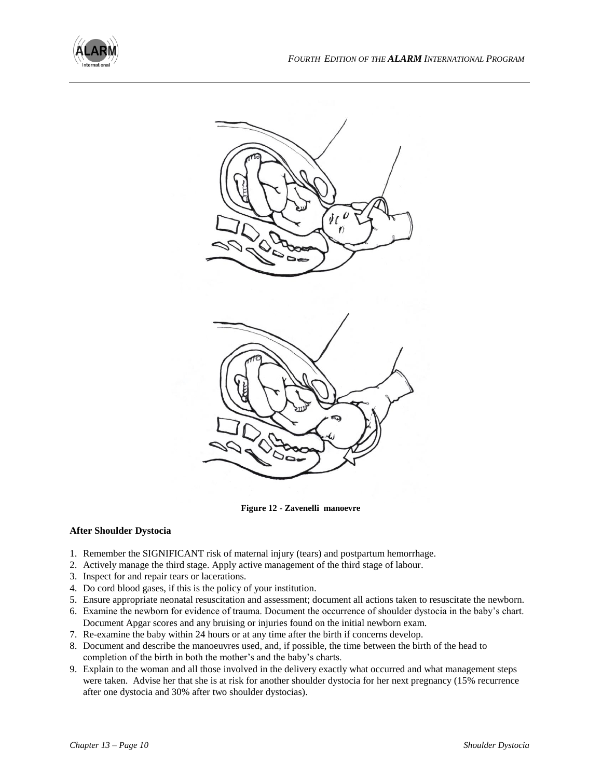



**Figure 12 - Zavenelli manoevre**

# **After Shoulder Dystocia**

- 1. Remember the SIGNIFICANT risk of maternal injury (tears) and postpartum hemorrhage.
- 2. Actively manage the third stage. Apply active management of the third stage of labour.
- 3. Inspect for and repair tears or lacerations.
- 4. Do cord blood gases, if this is the policy of your institution.
- 5. Ensure appropriate neonatal resuscitation and assessment; document all actions taken to resuscitate the newborn.
- 6. Examine the newborn for evidence of trauma. Document the occurrence of shoulder dystocia in the baby"s chart. Document Apgar scores and any bruising or injuries found on the initial newborn exam.
- 7. Re-examine the baby within 24 hours or at any time after the birth if concerns develop.
- 8. Document and describe the manoeuvres used, and, if possible, the time between the birth of the head to completion of the birth in both the mother's and the baby's charts.
- 9. Explain to the woman and all those involved in the delivery exactly what occurred and what management steps were taken. Advise her that she is at risk for another shoulder dystocia for her next pregnancy (15% recurrence after one dystocia and 30% after two shoulder dystocias).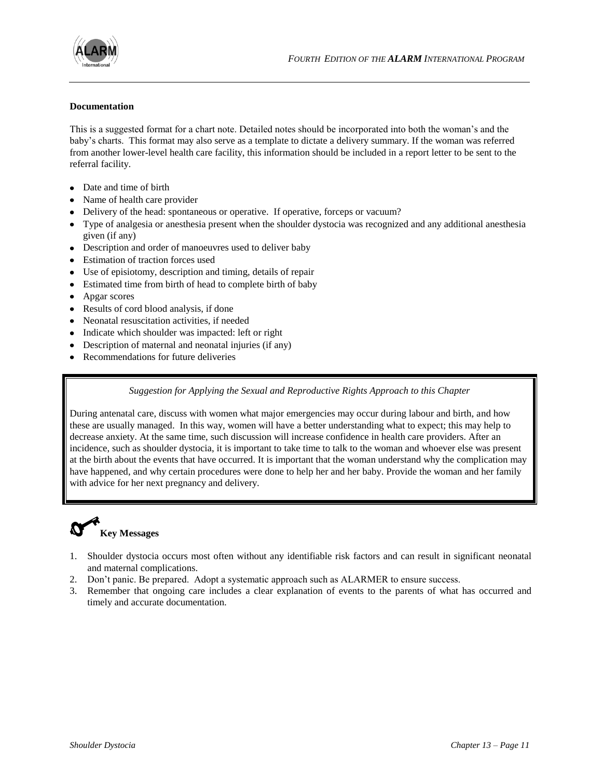

#### **Documentation**

This is a suggested format for a chart note. Detailed notes should be incorporated into both the woman"s and the baby"s charts. This format may also serve as a template to dictate a delivery summary. If the woman was referred from another lower-level health care facility, this information should be included in a report letter to be sent to the referral facility.

- Date and time of birth
- Name of health care provider
- Delivery of the head: spontaneous or operative. If operative, forceps or vacuum?
- Type of analgesia or anesthesia present when the shoulder dystocia was recognized and any additional anesthesia given (if any)
- Description and order of manoeuvres used to deliver baby
- Estimation of traction forces used
- Use of episiotomy, description and timing, details of repair
- Estimated time from birth of head to complete birth of baby
- Apgar scores  $\bullet$
- Results of cord blood analysis, if done
- Neonatal resuscitation activities, if needed
- Indicate which shoulder was impacted: left or right
- Description of maternal and neonatal injuries (if any)
- Recommendations for future deliveries

# *Suggestion for Applying the Sexual and Reproductive Rights Approach to this Chapter*

During antenatal care, discuss with women what major emergencies may occur during labour and birth, and how these are usually managed. In this way, women will have a better understanding what to expect; this may help to decrease anxiety. At the same time, such discussion will increase confidence in health care providers. After an incidence, such as shoulder dystocia, it is important to take time to talk to the woman and whoever else was present at the birth about the events that have occurred. It is important that the woman understand why the complication may have happened, and why certain procedures were done to help her and her baby. Provide the woman and her family with advice for her next pregnancy and delivery.

# **Key Messages**

- 1. Shoulder dystocia occurs most often without any identifiable risk factors and can result in significant neonatal and maternal complications.
- 2. Don"t panic. Be prepared. Adopt a systematic approach such as ALARMER to ensure success.
- 3. Remember that ongoing care includes a clear explanation of events to the parents of what has occurred and timely and accurate documentation.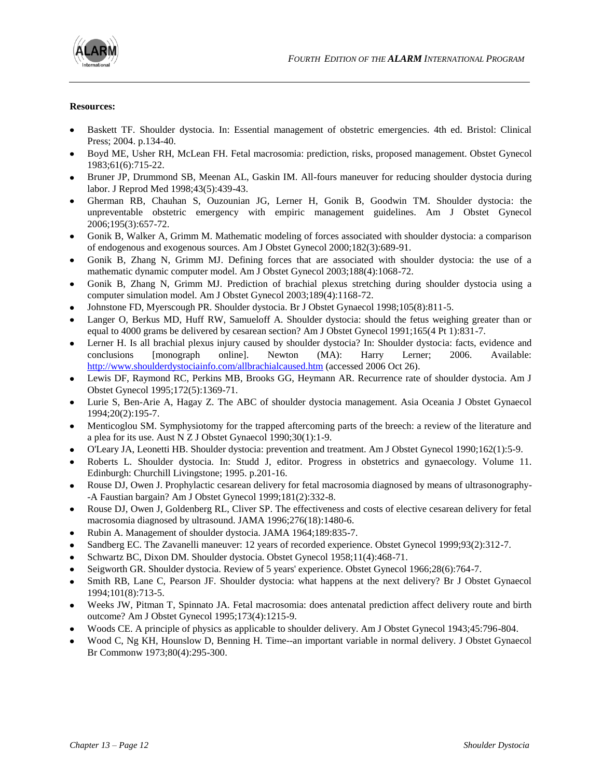

### **Resources:**

- Baskett TF. Shoulder dystocia. In: Essential management of obstetric emergencies. 4th ed. Bristol: Clinical Press; 2004. p.134-40.
- Boyd ME, Usher RH, McLean FH. Fetal macrosomia: prediction, risks, proposed management. Obstet Gynecol 1983;61(6):715-22.
- Bruner JP, Drummond SB, Meenan AL, Gaskin IM. All-fours maneuver for reducing shoulder dystocia during labor. J Reprod Med 1998;43(5):439-43.
- Gherman RB, Chauhan S, Ouzounian JG, Lerner H, Gonik B, Goodwin TM. Shoulder dystocia: the unpreventable obstetric emergency with empiric management guidelines. Am J Obstet Gynecol 2006;195(3):657-72.
- Gonik B, Walker A, Grimm M. Mathematic modeling of forces associated with shoulder dystocia: a comparison of endogenous and exogenous sources. Am J Obstet Gynecol 2000;182(3):689-91.
- Gonik B, Zhang N, Grimm MJ. Defining forces that are associated with shoulder dystocia: the use of a mathematic dynamic computer model. Am J Obstet Gynecol 2003;188(4):1068-72.
- Gonik B, Zhang N, Grimm MJ. Prediction of brachial plexus stretching during shoulder dystocia using a computer simulation model. Am J Obstet Gynecol 2003;189(4):1168-72.
- Johnstone FD, Myerscough PR. Shoulder dystocia. Br J Obstet Gynaecol 1998;105(8):811-5.
- Langer O, Berkus MD, Huff RW, Samueloff A. Shoulder dystocia: should the fetus weighing greater than or equal to 4000 grams be delivered by cesarean section? Am J Obstet Gynecol 1991;165(4 Pt 1):831-7.
- Lerner H. Is all brachial plexus injury caused by shoulder dystocia? In: Shoulder dystocia: facts, evidence and conclusions [monograph online]. Newton (MA): Harry Lerner; 2006. Available: <http://www.shoulderdystociainfo.com/allbrachialcaused.htm> (accessed 2006 Oct 26).
- Lewis DF, Raymond RC, Perkins MB, Brooks GG, Heymann AR. Recurrence rate of shoulder dystocia. Am J Obstet Gynecol 1995;172(5):1369-71.
- Lurie S, Ben-Arie A, Hagay Z. The ABC of shoulder dystocia management. Asia Oceania J Obstet Gynaecol 1994;20(2):195-7.
- Menticoglou SM. Symphysiotomy for the trapped aftercoming parts of the breech: a review of the literature and a plea for its use. Aust N Z J Obstet Gynaecol 1990;30(1):1-9.
- O'Leary JA, Leonetti HB. Shoulder dystocia: prevention and treatment. Am J Obstet Gynecol 1990;162(1):5-9.
- Roberts L. Shoulder dystocia. In: Studd J, editor. Progress in obstetrics and gynaecology. Volume 11. Edinburgh: Churchill Livingstone; 1995. p.201-16.
- Rouse DJ, Owen J. Prophylactic cesarean delivery for fetal macrosomia diagnosed by means of ultrasonography- -A Faustian bargain? Am J Obstet Gynecol 1999;181(2):332-8.
- Rouse DJ, Owen J, Goldenberg RL, Cliver SP. The effectiveness and costs of elective cesarean delivery for fetal macrosomia diagnosed by ultrasound. JAMA 1996;276(18):1480-6.
- Rubin A. Management of shoulder dystocia. JAMA 1964;189:835-7.
- Sandberg EC. The Zavanelli maneuver: 12 years of recorded experience. Obstet Gynecol 1999;93(2):312-7.
- Schwartz BC, Dixon DM. Shoulder dystocia. Obstet Gynecol 1958;11(4):468-71.
- Seigworth GR. Shoulder dystocia. Review of 5 years' experience. Obstet Gynecol 1966;28(6):764-7.
- Smith RB, Lane C, Pearson JF. Shoulder dystocia: what happens at the next delivery? Br J Obstet Gynaecol 1994;101(8):713-5.
- Weeks JW, Pitman T, Spinnato JA. Fetal macrosomia: does antenatal prediction affect delivery route and birth outcome? Am J Obstet Gynecol 1995;173(4):1215-9.
- Woods CE. A principle of physics as applicable to shoulder delivery. Am J Obstet Gynecol 1943;45:796-804.
- Wood C, Ng KH, Hounslow D, Benning H. Time--an important variable in normal delivery. J Obstet Gynaecol Br Commonw 1973;80(4):295-300.